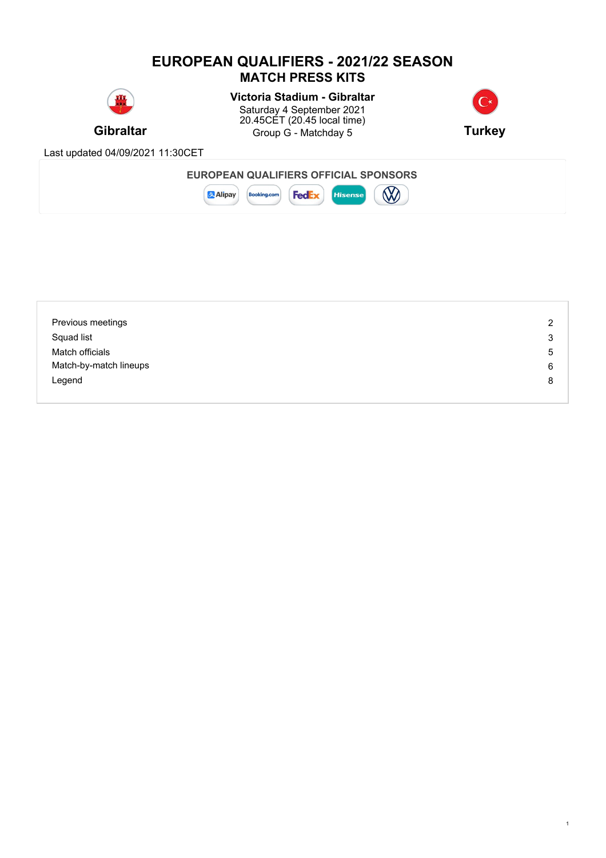### **EUROPEAN QUALIFIERS - 2021/22 SEASON MATCH PRESS KITS**



# **Victoria Stadium - Gibraltar**

**Gibraltar Gives Group G - Matchday 5 <b>Turkey Turkey** Saturday 4 September 2021 20.45CET (20.45 local time)



1

Last updated 04/09/2021 11:30CET



| Previous meetings      | 2 |
|------------------------|---|
| Squad list             | 3 |
| Match officials        | 5 |
| Match-by-match lineups | 6 |
| Legend                 | 8 |
|                        |   |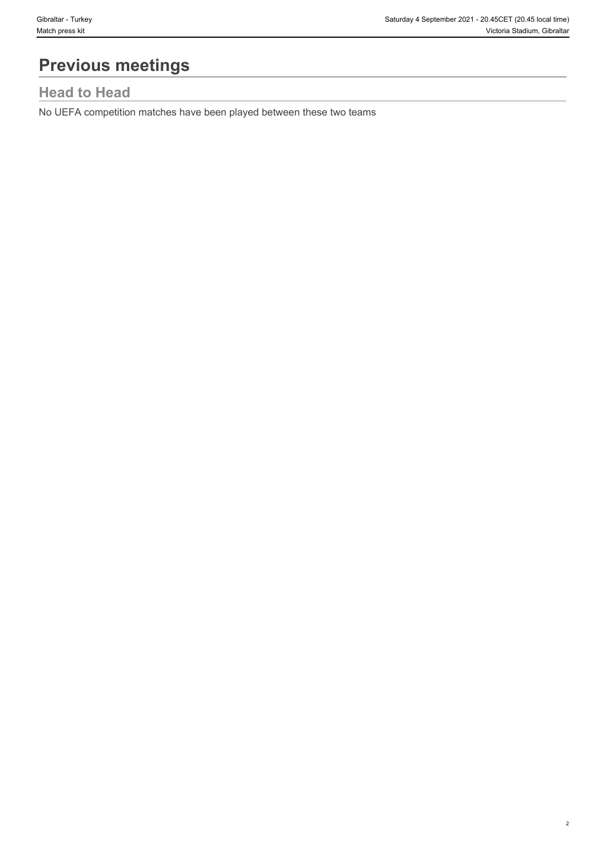2

# **Previous meetings**

# **Head to Head**

No UEFA competition matches have been played between these two teams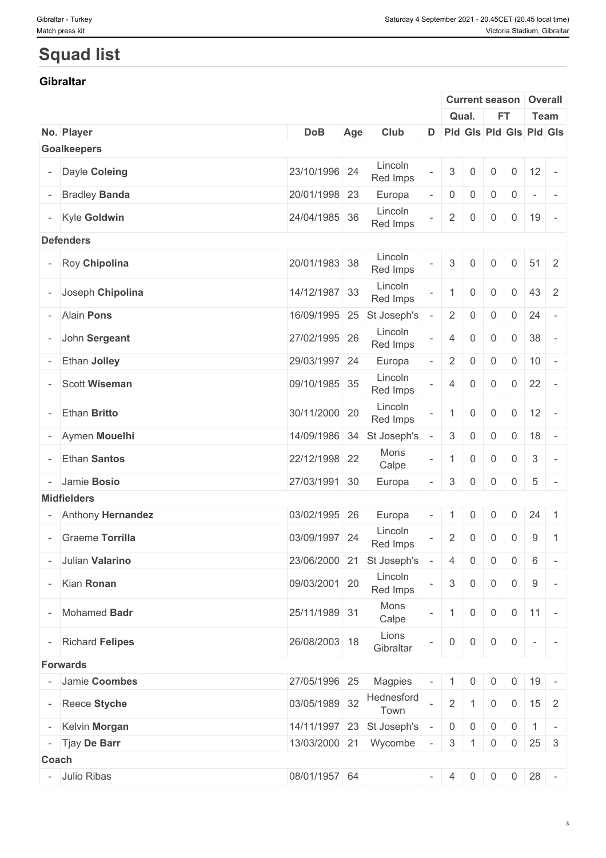# **Squad list**

#### **Gibraltar**

|       |                      |               |     |                           |                          |                           |                     | <b>Current season</b>  |                | Overall                        |
|-------|----------------------|---------------|-----|---------------------------|--------------------------|---------------------------|---------------------|------------------------|----------------|--------------------------------|
|       |                      |               |     |                           |                          |                           | Qual.               | <b>FT</b>              |                | Team                           |
|       | No. Player           | <b>DoB</b>    | Age | Club                      |                          |                           |                     |                        |                | D Pld Gls Pld Gls Pld Gls      |
|       | <b>Goalkeepers</b>   |               |     |                           |                          |                           |                     |                        |                |                                |
|       | - Dayle Coleing      | 23/10/1996 24 |     | Lincoln<br>Red Imps       |                          | $\ensuremath{\mathbf{3}}$ | $\mathbf{0}$        | $\mathbf 0$            | $\mathbf 0$    | 12<br>$\overline{\phantom{a}}$ |
|       | <b>Bradley Banda</b> | 20/01/1998 23 |     | Europa                    |                          | $\overline{0}$            | $\overline{0}$      | 0                      | $\overline{0}$ | $\sim$<br>$\sim$ $-$           |
|       | - Kyle Goldwin       | 24/04/1985 36 |     | Lincoln<br>Red Imps       |                          | $\overline{2}$            | $\overline{0}$      | $\overline{0}$         | $\overline{0}$ | 19<br>$\sim$                   |
|       | <b>Defenders</b>     |               |     |                           |                          |                           |                     |                        |                |                                |
|       | - Roy Chipolina      | 20/01/1983 38 |     | Lincoln<br>Red Imps       |                          | 3                         | $\Omega$            | 0                      | $\overline{0}$ | $51 \quad 2$                   |
|       | - Joseph Chipolina   | 14/12/1987 33 |     | Lincoln<br>Red Imps       |                          | $\mathbf{1}$              | $\mathbf 0$         | $\overline{0}$         | $\overline{0}$ | 43 2                           |
|       | - Alain Pons         | 16/09/1995 25 |     | St Joseph's               |                          | $2 \mid$                  | $\overline{0}$      | $\overline{0}$         | $\overline{0}$ | 24<br>$\sim$                   |
|       | - John Sergeant      | 27/02/1995 26 |     | Lincoln<br>Red Imps       |                          | $\overline{4}$            | $\mathbf 0$         | $\overline{0}$         | $\overline{0}$ | 38<br>$\sim$                   |
|       | Ethan Jolley         | 29/03/1997 24 |     | Europa                    |                          | $\overline{2}$            | $\mathbf 0$         | $\overline{0}$         | $0 \mid 10$    |                                |
|       | <b>Scott Wiseman</b> | 09/10/1985 35 |     | Lincoln<br>Red Imps       |                          | $\overline{4}$            | $\overline{0}$      | $\overline{0}$         | $0 \quad 22$   | $\sim$ $-$                     |
|       | Ethan Britto         | 30/11/2000 20 |     | Lincoln<br>Red Imps       |                          | $\mathbf{1}$              | $\mathbf 0$         | $\overline{0}$         | $\overline{0}$ | 12<br>$\overline{a}$           |
|       | - Aymen Mouelhi      | 14/09/1986 34 |     | St Joseph's               |                          | 3                         | $\overline{0}$      | 0                      | $\overline{0}$ | 18                             |
|       | <b>Ethan Santos</b>  | 22/12/1998 22 |     | Mons<br>Calpe             | $\overline{\phantom{a}}$ | $\overline{1}$            | $\mathbf 0$         | $\overline{0}$         | $\overline{0}$ | $\mathbf{3}$<br>$\sim$         |
|       | - Jamie Bosio        | 27/03/1991 30 |     | Europa                    |                          | 3                         | $\overline{0}$      | 0                      | $0 \mid 5$     | $\sim$                         |
|       | <b>Midfielders</b>   |               |     |                           |                          |                           |                     |                        |                |                                |
|       | - Anthony Hernandez  | 03/02/1995 26 |     | Europa                    | $\overline{\phantom{a}}$ | $\mathbf{1}$              | $\overline{0}$      | $\overline{0}$         | $\overline{0}$ | 24<br>$\overline{1}$           |
|       | - Graeme Torrilla    | 03/09/1997 24 |     | Lincoln<br>Red Imps       |                          | $\overline{2}$            | $\mathsf{O}\xspace$ | $\mathsf{O}\xspace$    | $\overline{0}$ | 9<br>$\overline{1}$            |
|       | - Julian Valarino    |               |     | 23/06/2000 21 St Joseph's |                          | $\overline{4}$            | $\mathbf 0$         | $\overline{0}$         | 0              | 6<br>$\sim$                    |
|       | - Kian Ronan         | 09/03/2001 20 |     | Lincoln<br>Red Imps       |                          | 3 <sup>1</sup>            | $\overline{0}$      | $\overline{0}$         | $\overline{0}$ | 9<br>$\sim$                    |
|       | - Mohamed Badr       | 25/11/1989 31 |     | Mons<br>Calpe             |                          | 1                         | $\overline{0}$      | $\overline{0}$         |                | $0 \mid 11 \mid -$             |
|       | - Richard Felipes    | 26/08/2003 18 |     | Lions<br>Gibraltar        |                          | $\overline{0}$            | $\overline{0}$      | $\overline{0}$         | $\overline{0}$ | $-1$                           |
|       | Forwards             |               |     |                           |                          |                           |                     |                        |                |                                |
|       | - Jamie Coombes      | 27/05/1996 25 |     | Magpies                   | $\overline{\phantom{a}}$ | $\pm$ 1 $\pm$             | $\overline{0}$      | $\overline{0}$         | $\overline{0}$ | 19                             |
|       | - Reece Styche       | 03/05/1989 32 |     | Hednesford<br>Town        |                          | $\overline{2}$            |                     | $\overline{0}$         |                | $0 \mid 15 \mid 2$             |
|       | - Kelvin Morgan      |               |     | 14/11/1997 23 St Joseph's | $\overline{\phantom{a}}$ |                           | $0 \mid 0$          | $\overline{0}$         |                | $0 \mid 1 \mid -$              |
|       | - Tjay De Barr       |               |     | 13/03/2000 21 Wycombe -   |                          |                           |                     | $3 \mid 1 \mid 0 \mid$ |                | $0 \mid 25 \mid 3$             |
| Coach |                      |               |     |                           |                          |                           |                     |                        |                |                                |
|       | - Julio Ribas        | 08/01/1957 64 |     |                           |                          |                           |                     |                        |                | $- 4 0 0 0 28 -$               |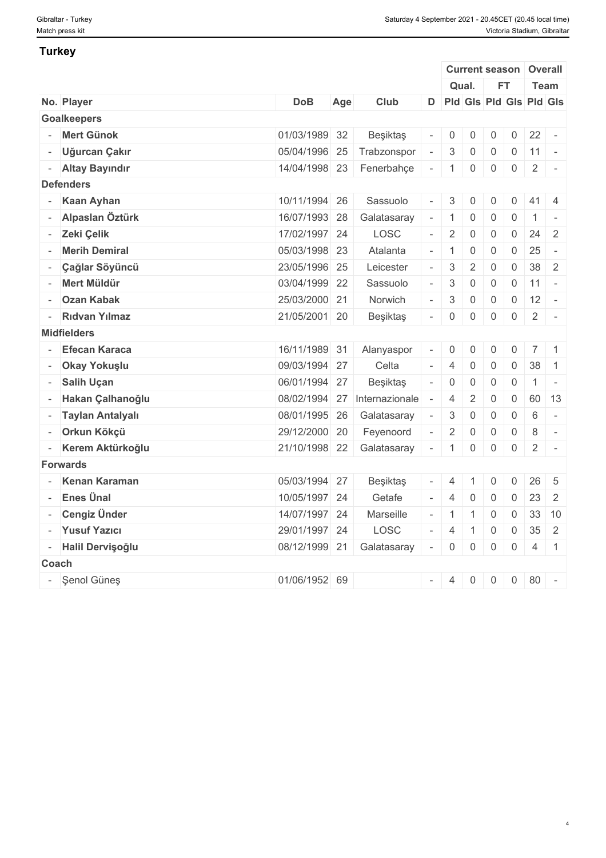#### **Turkey**

|                      |               |     |                           |                          |                |                | <b>Current season Overall</b> |                |                      |                         |  |
|----------------------|---------------|-----|---------------------------|--------------------------|----------------|----------------|-------------------------------|----------------|----------------------|-------------------------|--|
|                      |               |     |                           |                          |                | Qual.          | <b>FT</b>                     |                | Team                 |                         |  |
| No. Player           | <b>DoB</b>    | Age | Club                      |                          |                |                | D Pld Gls Pld Gls Pld Gls     |                |                      |                         |  |
| <b>Goalkeepers</b>   |               |     |                           |                          |                |                |                               |                |                      |                         |  |
| - Mert Günok         | 01/03/1989 32 |     | Beşiktaş                  |                          | $\overline{0}$ | $\overline{0}$ | $\mathbf 0$                   | $\overline{0}$ | $22 -$               |                         |  |
| - Uğurcan Çakır      | 05/04/1996 25 |     | Trabzonspor               | $\sim$                   | 3              | $\overline{0}$ | $\mathbf 0$                   | $\overline{0}$ | $11 -$               |                         |  |
| - Altay Bayındır     | 14/04/1998 23 |     | Fenerbahçe                | $\overline{\phantom{a}}$ | $\overline{1}$ | $\mathbf 0$    | $\mathbf 0$                   | $\overline{0}$ | $\overline{2}$       | $\sim$ $-$              |  |
| <b>Defenders</b>     |               |     |                           |                          |                |                |                               |                |                      |                         |  |
| - Kaan Ayhan         | 10/11/1994 26 |     | Sassuolo                  | $\bar{a}$                | 3              | $\overline{0}$ | $\mathbf 0$                   | $\overline{0}$ | $41 \quad 4$         |                         |  |
| - Alpaslan Öztürk    | 16/07/1993 28 |     | Galatasaray               | $\overline{\phantom{a}}$ | $\overline{1}$ | $\overline{0}$ | $\mathbf 0$                   | $\overline{0}$ | $\overline{1}$       | $\vert$ $\vert$ $\vert$ |  |
| - Zeki Çelik         | 17/02/1997 24 |     | LOSC                      |                          | $\overline{2}$ | $\overline{0}$ | $\overline{0}$                |                | $0 \mid 24 \mid 2$   |                         |  |
| - Merih Demiral      | 05/03/1998 23 |     | Atalanta                  | $\equiv$                 | $\vert$ 1      | $\overline{0}$ | $\mathbf 0$                   | $\overline{0}$ | 25                   | $\sim$ $-$              |  |
| - Çağlar Söyüncü     | 23/05/1996 25 |     | Leicester                 |                          | 3              | $\overline{2}$ | $\mathbf 0$                   | $\overline{0}$ | $38 \mid 2$          |                         |  |
| - Mert Müldür        | 03/04/1999 22 |     | Sassuolo                  |                          | 3              | $\overline{0}$ | $\mathbf 0$                   | $\overline{0}$ | $\vert$ 11 $\vert$ - |                         |  |
| - Ozan Kabak         | 25/03/2000 21 |     | Norwich                   | $\sim$                   | 3              | $\overline{0}$ | $\mathbf 0$                   | $\overline{0}$ | 12                   | $\sim$ $-$              |  |
| - Ridvan Yılmaz      | 21/05/2001 20 |     | Beşiktaş                  | $\equiv$                 | $\overline{0}$ | $\mathbf 0$    | $\mathbf 0$                   | $\overline{0}$ | $\overline{2}$       | $\vert \cdot \vert$     |  |
| <b>Midfielders</b>   |               |     |                           |                          |                |                |                               |                |                      |                         |  |
| <b>Efecan Karaca</b> | 16/11/1989 31 |     | Alanyaspor                | $\overline{\phantom{a}}$ | $\mathbf 0$    | $\overline{0}$ | $\mathbf 0$                   | $\overline{0}$ | $7 \mid 1$           |                         |  |
| - Okay Yokuşlu       | 09/03/1994 27 |     | Celta                     |                          | -4             | 0              | $\mathbf 0$                   | $\mathbf 0$    | 38                   | $\overline{1}$          |  |
| - Salih Uçan         | 06/01/1994 27 |     | Beşiktaş                  | $\overline{\phantom{a}}$ | $\overline{0}$ | $\overline{0}$ | $\mathbf 0$                   | $\mathsf{O}$   | $1$ $-$              |                         |  |
| - Hakan Çalhanoğlu   | 08/02/1994 27 |     | Internazionale            | $\sim$                   | $\overline{4}$ | 2              | $\mathbf 0$                   | $\mathbf 0$    | 60 13                |                         |  |
| - Taylan Antalyalı   | 08/01/1995 26 |     | Galatasaray               | $\sim$                   | $\mathbf{3}$   | $\mathbf 0$    | $\overline{0}$                | $\mathbf 0$    | 6                    | $\sim$ $-$              |  |
| - Orkun Kökçü        | 29/12/2000 20 |     | Feyenoord                 |                          | $\overline{2}$ | $\overline{0}$ | $\overline{0}$                | $\overline{0}$ | 8                    | $\sim$                  |  |
| - Kerem Aktürkoğlu   |               |     | 21/10/1998 22 Galatasaray | $\sim$                   | $\overline{1}$ | $\overline{0}$ | $\overline{0}$                | $\overline{0}$ | $\overline{2}$       | $\sim$                  |  |
| <b>Forwards</b>      |               |     |                           |                          |                |                |                               |                |                      |                         |  |
| - Kenan Karaman      | 05/03/1994 27 |     | Beşiktaş                  |                          | $\overline{4}$ |                | $\mathbf 0$                   | $\overline{0}$ | 26                   | 5                       |  |
| - Enes Ünal          | 10/05/1997 24 |     | Getafe                    | $-1$                     | $\overline{4}$ | $\overline{0}$ | $\overline{0}$                | $\overline{0}$ | $23 \quad 2$         |                         |  |
| - Cengiz Ünder       | 14/07/1997 24 |     | Marseille                 | $\bar{\phantom{a}}$      | $\vert$ 1      |                | $\mathbf 0$                   | $\overline{0}$ | 33 10                |                         |  |
| - Yusuf Yazıcı       | 29/01/1997 24 |     | LOSC                      |                          | $\vert$ 4      | $\overline{1}$ | $\overline{0}$                | $\overline{0}$ | $35 \quad 2$         |                         |  |
| - Halil Dervişoğlu   | 08/12/1999 21 |     | Galatasaray               | $\sim$                   | $\overline{0}$ | $\overline{0}$ | $\overline{0}$                | $\overline{0}$ | $4 \mid 1$           |                         |  |
| Coach                |               |     |                           |                          |                |                |                               |                |                      |                         |  |
|                      |               |     |                           |                          |                |                |                               |                |                      |                         |  |
| - Şenol Güneş        | 01/06/1952 69 |     |                           |                          | $- 4$          | $\overline{0}$ | $\overline{0}$                |                | $0 \quad 80$         | $\sim$                  |  |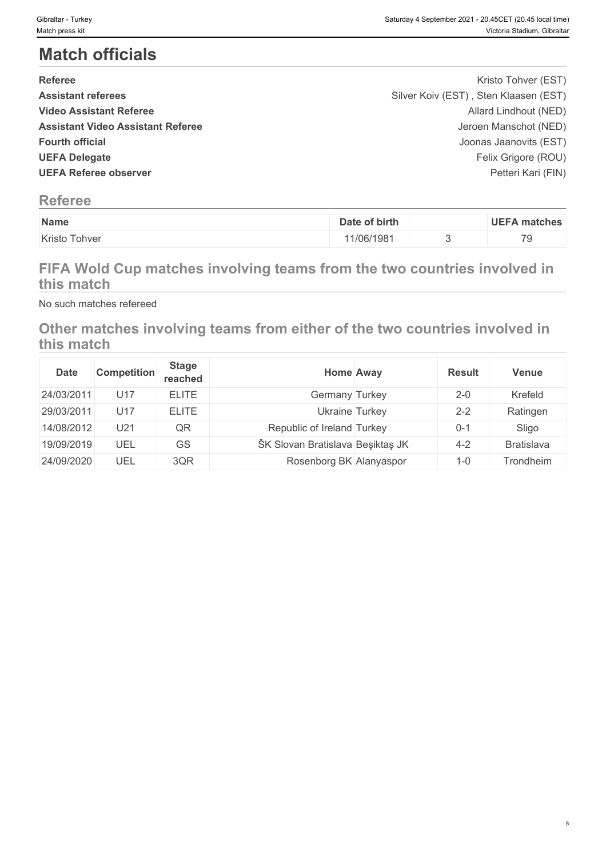5

# **Match officials**

| <b>Referee</b>                           | Kristo Tohver (EST)                   |  |
|------------------------------------------|---------------------------------------|--|
| <b>Assistant referees</b>                | Silver Koiv (EST), Sten Klaasen (EST) |  |
| <b>Video Assistant Referee</b>           | Allard Lindhout (NED)                 |  |
| <b>Assistant Video Assistant Referee</b> | Jeroen Manschot (NED)                 |  |
| <b>Fourth official</b>                   | Joonas Jaanovits (EST)                |  |
| <b>UEFA Delegate</b>                     | Felix Grigore (ROU)                   |  |
| <b>UEFA Referee observer</b>             | Petteri Kari (FIN)                    |  |
|                                          |                                       |  |

## **Referee**

| Name                                          | of birth<br>Date | UEFA<br>. matches               |
|-----------------------------------------------|------------------|---------------------------------|
| $\overline{\phantom{a}}$<br>Kristo<br>' ohvei | 1/06/1981        | $\overline{\phantom{a}}$<br>1 U |

# **FIFA Wold Cup matches involving teams from the two countries involved in this match**

No such matches refereed

### **Other matches involving teams from either of the two countries involved in this match**

| <b>Date</b> | Competition | <b>Stage</b><br>reached |                                  | <b>Home Away</b> | <b>Result</b> | Venue      |
|-------------|-------------|-------------------------|----------------------------------|------------------|---------------|------------|
| 24/03/2011  | U17         | <b>ELITE</b>            | Germany Turkey                   |                  | $2 - 0$       | Krefeld    |
| 29/03/2011  | U17         | <b>ELITE</b>            |                                  | Ukraine Turkey   | $2 - 2$       | Ratingen   |
| 14/08/2012  | U21         | QR                      | Republic of Ireland Turkey       |                  | $0 - 1$       | Sligo      |
| 19/09/2019  | UEL         | GS                      | ŠK Slovan Bratislava Beşiktaş JK |                  | $4 - 2$       | Bratislava |
| 24/09/2020  | UEL         | 3QR                     | Rosenborg BK Alanyaspor          |                  | $1 - 0$       | Trondheim  |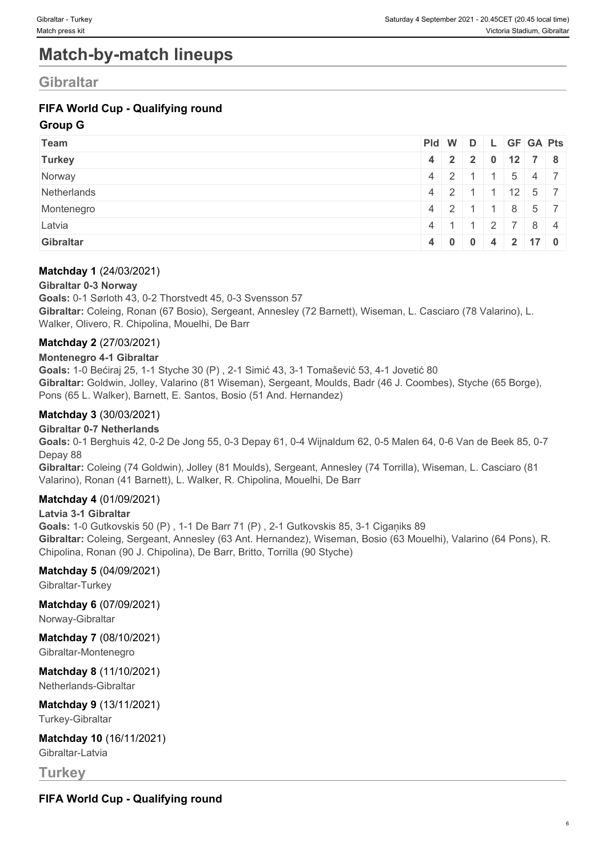# **Match-by-match lineups**

### **Gibraltar**

### **FIFA World Cup - Qualifying round**

#### **Group G**

| <b>Team</b>   | Pid W D L GF GA Pts          |                |                  |                    |  |
|---------------|------------------------------|----------------|------------------|--------------------|--|
| <b>Turkey</b> | $4$   2   2   0   12   7   8 |                |                  |                    |  |
| Norway        | $4 \mid 2$                   |                | $\blacksquare$ 1 | $5 \mid 4 \mid 7$  |  |
| Netherlands   | $4 \mid 2 \mid$              |                | $\blacksquare$ 1 | $12 \mid 5 \mid 7$ |  |
| Montenegro    | $4 \mid 2 \mid$              |                | $\blacksquare$ 1 | $8 \mid 5 \mid 7$  |  |
| Latvia        | $4 \mid 1$                   | $\blacksquare$ |                  | 2 7 8 4            |  |
| Gibraltar     | $4 \t0 \t0 \t4 \t2 \t17 \t0$ |                |                  |                    |  |

#### **Matchday 1** (24/03/2021)

#### **Gibraltar 0-3 Norway**

**Goals:** 0-1 Sørloth 43, 0-2 Thorstvedt 45, 0-3 Svensson 57 **Gibraltar:** Coleing, Ronan (67 Bosio), Sergeant, Annesley (72 Barnett), Wiseman, L. Casciaro (78 Valarino), L. Walker, Olivero, R. Chipolina, Mouelhi, De Barr

#### **Matchday 2** (27/03/2021)

#### **Montenegro 4-1 Gibraltar**

**Goals:** 1-0 Bećiraj 25, 1-1 Styche 30 (P) , 2-1 Simić 43, 3-1 Tomašević 53, 4-1 Jovetić 80 **Gibraltar:** Goldwin, Jolley, Valarino (81 Wiseman), Sergeant, Moulds, Badr (46 J. Coombes), Styche (65 Borge), Pons (65 L. Walker), Barnett, E. Santos, Bosio (51 And. Hernandez)

#### **Matchday 3** (30/03/2021)

#### **Gibraltar 0-7 Netherlands**

**Goals:** 0-1 Berghuis 42, 0-2 De Jong 55, 0-3 Depay 61, 0-4 Wijnaldum 62, 0-5 Malen 64, 0-6 Van de Beek 85, 0-7 Depay 88

**Gibraltar:** Coleing (74 Goldwin), Jolley (81 Moulds), Sergeant, Annesley (74 Torrilla), Wiseman, L. Casciaro (81 Valarino), Ronan (41 Barnett), L. Walker, R. Chipolina, Mouelhi, De Barr

#### **Matchday 4** (01/09/2021)

#### **Latvia 3-1 Gibraltar**

**Goals:** 1-0 Gutkovskis 50 (P) , 1-1 De Barr 71 (P) , 2-1 Gutkovskis 85, 3-1 Cigaņiks 89 **Gibraltar:** Coleing, Sergeant, Annesley (63 Ant. Hernandez), Wiseman, Bosio (63 Mouelhi), Valarino (64 Pons), R. Chipolina, Ronan (90 J. Chipolina), De Barr, Britto, Torrilla (90 Styche)

#### **Matchday 5** (04/09/2021)

Gibraltar-Turkey

**Matchday 6** (07/09/2021)

Norway-Gibraltar

#### **Matchday 7** (08/10/2021)

Gibraltar-Montenegro

**Matchday 8** (11/10/2021) Netherlands-Gibraltar

**Matchday 9** (13/11/2021) Turkey-Gibraltar

**Matchday 10** (16/11/2021) Gibraltar-Latvia

**Turkey**

**FIFA World Cup - Qualifying round**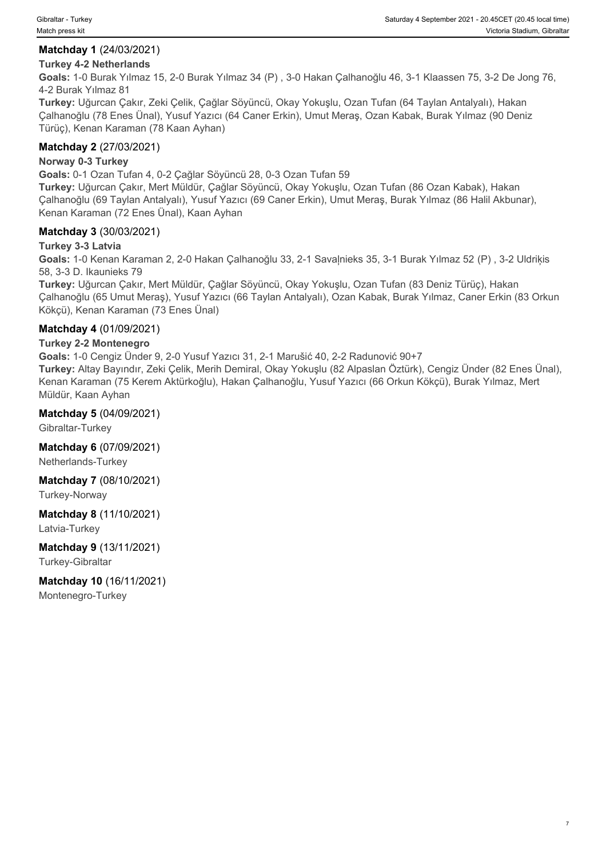7

#### **Matchday 1** (24/03/2021)

#### **Turkey 4-2 Netherlands**

**Goals:** 1-0 Burak Yılmaz 15, 2-0 Burak Yılmaz 34 (P) , 3-0 Hakan Çalhanoğlu 46, 3-1 Klaassen 75, 3-2 De Jong 76, 4-2 Burak Yılmaz 81

**Turkey:** Uğurcan Çakır, Zeki Çelik, Çağlar Söyüncü, Okay Yokuşlu, Ozan Tufan (64 Taylan Antalyalı), Hakan Çalhanoğlu (78 Enes Ünal), Yusuf Yazıcı (64 Caner Erkin), Umut Meraş, Ozan Kabak, Burak Yılmaz (90 Deniz Türüç), Kenan Karaman (78 Kaan Ayhan)

#### **Matchday 2** (27/03/2021)

#### **Norway 0-3 Turkey**

**Goals:** 0-1 Ozan Tufan 4, 0-2 Çağlar Söyüncü 28, 0-3 Ozan Tufan 59

**Turkey:** Uğurcan Çakır, Mert Müldür, Çağlar Söyüncü, Okay Yokuşlu, Ozan Tufan (86 Ozan Kabak), Hakan Çalhanoğlu (69 Taylan Antalyalı), Yusuf Yazıcı (69 Caner Erkin), Umut Meraş, Burak Yılmaz (86 Halil Akbunar), Kenan Karaman (72 Enes Ünal), Kaan Ayhan

#### **Matchday 3** (30/03/2021)

#### **Turkey 3-3 Latvia**

**Goals:** 1-0 Kenan Karaman 2, 2-0 Hakan Çalhanoğlu 33, 2-1 Savaļnieks 35, 3-1 Burak Yılmaz 52 (P) , 3-2 Uldriķis 58, 3-3 D. Ikaunieks 79

**Turkey:** Uğurcan Çakır, Mert Müldür, Çağlar Söyüncü, Okay Yokuşlu, Ozan Tufan (83 Deniz Türüç), Hakan Çalhanoğlu (65 Umut Meraş), Yusuf Yazıcı (66 Taylan Antalyalı), Ozan Kabak, Burak Yılmaz, Caner Erkin (83 Orkun Kökçü), Kenan Karaman (73 Enes Ünal)

#### **Matchday 4** (01/09/2021)

#### **Turkey 2-2 Montenegro**

**Goals:** 1-0 Cengiz Ünder 9, 2-0 Yusuf Yazıcı 31, 2-1 Marušić 40, 2-2 Radunović 90+7 **Turkey:** Altay Bayındır, Zeki Çelik, Merih Demiral, Okay Yokuşlu (82 Alpaslan Öztürk), Cengiz Ünder (82 Enes Ünal), Kenan Karaman (75 Kerem Aktürkoğlu), Hakan Çalhanoğlu, Yusuf Yazıcı (66 Orkun Kökçü), Burak Yılmaz, Mert Müldür, Kaan Ayhan

#### **Matchday 5** (04/09/2021)

Gibraltar-Turkey

**Matchday 6** (07/09/2021) Netherlands-Turkey

#### **Matchday 7** (08/10/2021) Turkey-Norway

**Matchday 8** (11/10/2021) Latvia-Turkey

#### **Matchday 9** (13/11/2021) Turkey-Gibraltar

**Matchday 10** (16/11/2021) Montenegro-Turkey